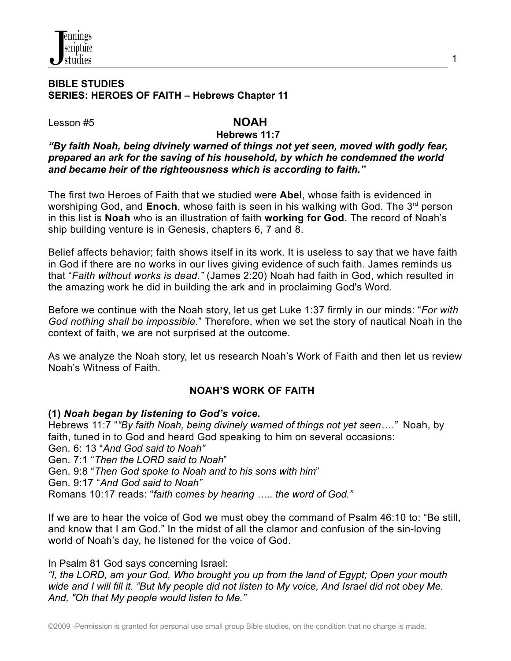

#### **BIBLE STUDIES SERIES: HEROES OF FAITH – Hebrews Chapter 11**

Lesson #5 **NOAH**

### **Hebrews 11:7**

#### *"By faith Noah, being divinely warned of things not yet seen, moved with godly fear, prepared an ark for the saving of his household, by which he condemned the world and became heir of the righteousness which is according to faith."*

The first two Heroes of Faith that we studied were **Abel**, whose faith is evidenced in worshiping God, and Enoch, whose faith is seen in his walking with God. The 3<sup>rd</sup> person in this list is **Noah** who is an illustration of faith **working for God.** The record of Noah's ship building venture is in Genesis, chapters 6, 7 and 8.

Belief affects behavior; faith shows itself in its work. It is useless to say that we have faith in God if there are no works in our lives giving evidence of such faith. James reminds us that "*Faith without works is dead."* (James 2:20) Noah had faith in God, which resulted in the amazing work he did in building the ark and in proclaiming God's Word.

Before we continue with the Noah story, let us get Luke 1:37 firmly in our minds: "*For with God nothing shall be impossible*." Therefore, when we set the story of nautical Noah in the context of faith, we are not surprised at the outcome.

As we analyze the Noah story, let us research Noah's Work of Faith and then let us review Noah's Witness of Faith.

## **NOAH'S WORK OF FAITH**

#### **(1)** *Noah began by listening to God's voice.*

Hebrews 11:7 "*"By faith Noah, being divinely warned of things not yet seen…."* Noah, by faith, tuned in to God and heard God speaking to him on several occasions: Gen. 6: 13 "*And God said to Noah"* Gen. 7:1 "*Then the LORD said to Noah*" Gen. 9:8 "*Then God spoke to Noah and to his sons with him*" Gen. 9:17 "*And God said to Noah"* Romans 10:17 reads: "*faith comes by hearing ….. the word of God."*

If we are to hear the voice of God we must obey the command of Psalm 46:10 to: "Be still, and know that I am God." In the midst of all the clamor and confusion of the sin-loving world of Noah's day, he listened for the voice of God.

#### In Psalm 81 God says concerning Israel:

*"I, the LORD, am your God, Who brought you up from the land of Egypt; Open your mouth* wide and I will fill it. "But My people did not listen to My voice, And Israel did not obey Me. *And, "Oh that My people would listen to Me."*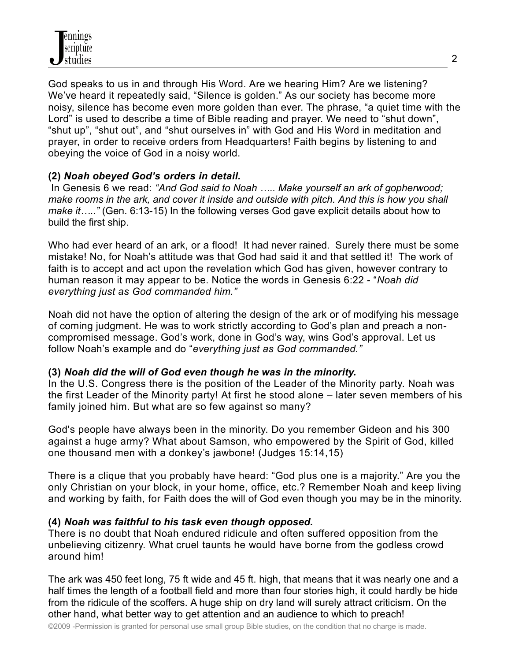God speaks to us in and through His Word. Are we hearing Him? Are we listening? We've heard it repeatedly said, "Silence is golden." As our society has become more noisy, silence has become even more golden than ever. The phrase, "a quiet time with the Lord" is used to describe a time of Bible reading and prayer. We need to "shut down", "shut up", "shut out", and "shut ourselves in" with God and His Word in meditation and prayer, in order to receive orders from Headquarters! Faith begins by listening to and obeying the voice of God in a noisy world.

## **(2)** *Noah obeyed God's orders in detail.*

In Genesis 6 we read: *"And God said to Noah ….. Make yourself an ark of gopherwood;* make rooms in the ark, and cover it inside and outside with pitch. And this is how you shall *make it….."* (Gen. 6:13-15) In the following verses God gave explicit details about how to build the first ship.

Who had ever heard of an ark, or a flood! It had never rained. Surely there must be some mistake! No, for Noah's attitude was that God had said it and that settled it! The work of faith is to accept and act upon the revelation which God has given, however contrary to human reason it may appear to be. Notice the words in Genesis 6:22 - "*Noah did everything just as God commanded him."*

Noah did not have the option of altering the design of the ark or of modifying his message of coming judgment. He was to work strictly according to God's plan and preach a noncompromised message. God's work, done in God's way, wins God's approval. Let us follow Noah's example and do "*everything just as God commanded."*

#### **(3)** *Noah did the will of God even though he was in the minority.*

In the U.S. Congress there is the position of the Leader of the Minority party. Noah was the first Leader of the Minority party! At first he stood alone – later seven members of his family joined him. But what are so few against so many?

God's people have always been in the minority. Do you remember Gideon and his 300 against a huge army? What about Samson, who empowered by the Spirit of God, killed one thousand men with a donkey's jawbone! (Judges 15:14,15)

There is a clique that you probably have heard: "God plus one is a majority." Are you the only Christian on your block, in your home, office, etc.? Remember Noah and keep living and working by faith, for Faith does the will of God even though you may be in the minority.

#### **(4)** *Noah was faithful to his task even though opposed.*

There is no doubt that Noah endured ridicule and often suffered opposition from the unbelieving citizenry. What cruel taunts he would have borne from the godless crowd around him!

The ark was 450 feet long, 75 ft wide and 45 ft. high, that means that it was nearly one and a half times the length of a football field and more than four stories high, it could hardly be hide from the ridicule of the scoffers. A huge ship on dry land will surely attract criticism. On the other hand, what better way to get attention and an audience to which to preach!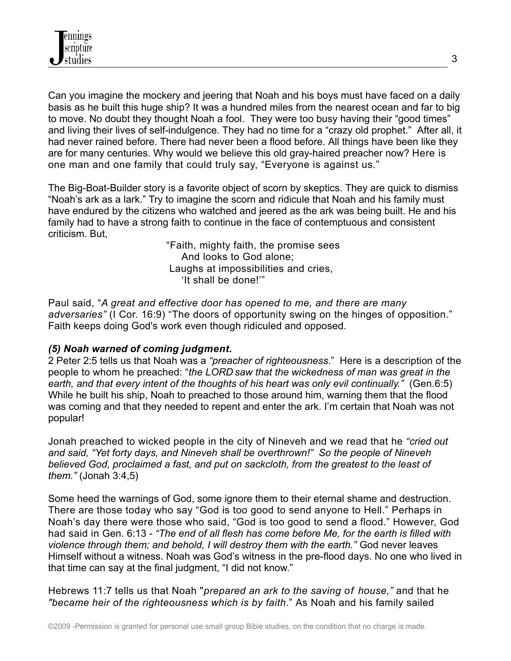Can you imagine the mockery and jeering that Noah and his boys must have faced on a daily basis as he built this huge ship? It was a hundred miles from the nearest ocean and far to big to move. No doubt they thought Noah a fool. They were too busy having their "good times" and living their lives of self-indulgence. They had no time for a "crazy old prophet." After all, it had never rained before. There had never been a flood before. All things have been like they are for many centuries. Why would we believe this old gray-haired preacher now? Here is one man and one family that could truly say, "Everyone is against us."

The Big-Boat-Builder story is a favorite object of scorn by skeptics. They are quick to dismiss "Noah's ark as a lark." Try to imagine the scorn and ridicule that Noah and his family must have endured by the citizens who watched and jeered as the ark was being built. He and his family had to have a strong faith to continue in the face of contemptuous and consistent criticism. But,

> "Faith, mighty faith, the promise sees And looks to God alone; Laughs at impossibilities and cries, 'It shall be done!'"

Paul said, "*A great and effective door has opened to me, and there are many adversaries"* (I Cor. 16:9) "The doors of opportunity swing on the hinges of opposition." Faith keeps doing God's work even though ridiculed and opposed.

# *(5) Noah warned of coming judgment.*

2 Peter 2:5 tells us that Noah was a *"preacher of righteousness*." Here is a description of the people to whom he preached: "*the LORD saw that the wickedness of man was great in the earth, and that every intent of the thoughts of his heart was only evil continually."* (Gen.6:5) While he built his ship, Noah to preached to those around him, warning them that the flood was coming and that they needed to repent and enter the ark. I'm certain that Noah was not popular!

Jonah preached to wicked people in the city of Nineveh and we read that he *"cried out and said, "Yet forty days, and Nineveh shall be overthrown!" So the people of Nineveh believed God, proclaimed a fast, and put on sackcloth, from the greatest to the least of them."* (Jonah 3:4,5)

Some heed the warnings of God, some ignore them to their eternal shame and destruction. There are those today who say "God is too good to send anyone to Hell." Perhaps in Noah's day there were those who said, "God is too good to send a flood." However, God had said in Gen. 6:13 - *"The end of all flesh has come before Me, for the earth is filled with violence through them; and behold, I will destroy them with the earth."* God never leaves Himself without a witness. Noah was God's witness in the pre-flood days. No one who lived in that time can say at the final judgment, "I did not know."

Hebrews 11:7 tells us that Noah "*prepared an ark to the saving of house,"* and that he *"became heir of the righteousness which is by faith*." As Noah and his family sailed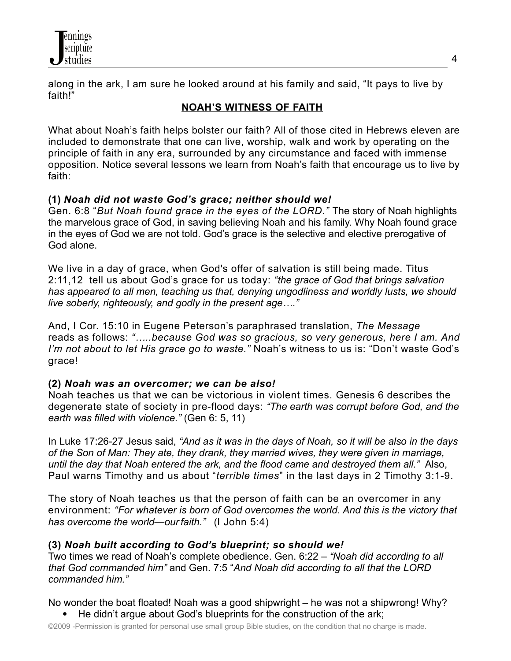

along in the ark, I am sure he looked around at his family and said, "It pays to live by faith!"

## **NOAH'S WITNESS OF FAITH**

What about Noah's faith helps bolster our faith? All of those cited in Hebrews eleven are included to demonstrate that one can live, worship, walk and work by operating on the principle of faith in any era, surrounded by any circumstance and faced with immense opposition. Notice several lessons we learn from Noah's faith that encourage us to live by faith:

## **(1)** *Noah did not waste God's grace; neither should we!*

Gen. 6:8 "*But Noah found grace in the eyes of the LORD."* The story of Noah highlights the marvelous grace of God, in saving believing Noah and his family. Why Noah found grace in the eyes of God we are not told. God's grace is the selective and elective prerogative of God alone.

We live in a day of grace, when God's offer of salvation is still being made. Titus 2:11,12 tell us about God's grace for us today: *"the grace of God that brings salvation has appeared to all men, teaching us that, denying ungodliness and worldly lusts, we should live soberly, righteously, and godly in the present age…."*

And, I Cor. 15:10 in Eugene Peterson's paraphrased translation, *The Message* reads as follows: *"…..because God was so gracious, so very generous, here I am. And I'm not about to let His grace go to waste."* Noah's witness to us is: "Don't waste God's grace!

## **(2)** *Noah was an overcomer; we can be also!*

Noah teaches us that we can be victorious in violent times. Genesis 6 describes the degenerate state of society in pre-flood days: *"The earth was corrupt before God, and the earth was filled with violence."* (Gen 6: 5, 11)

In Luke 17:26-27 Jesus said, *"And as it was in the days of Noah, so it will be also in the days of the Son of Man: They ate, they drank, they married wives, they were given in marriage, until the day that Noah entered the ark, and the flood came and destroyed them all."* Also, Paul warns Timothy and us about "*terrible times*" in the last days in 2 Timothy 3:1-9.

The story of Noah teaches us that the person of faith can be an overcomer in any environment: *"For whatever is born of God overcomes the world. And this is the victory that has overcome the world—ourfaith."* (I John 5:4)

#### **(3)** *Noah built according to God's blueprint; so should we!*

Two times we read of Noah's complete obedience. Gen. 6:22 – *"Noah did according to all that God commanded him"* and Gen. 7:5 "*And Noah did according to all that the LORD commanded him."*

No wonder the boat floated! Noah was a good shipwright – he was not a shipwrong! Why?

• He didn't argue about God's blueprints for the construction of the ark;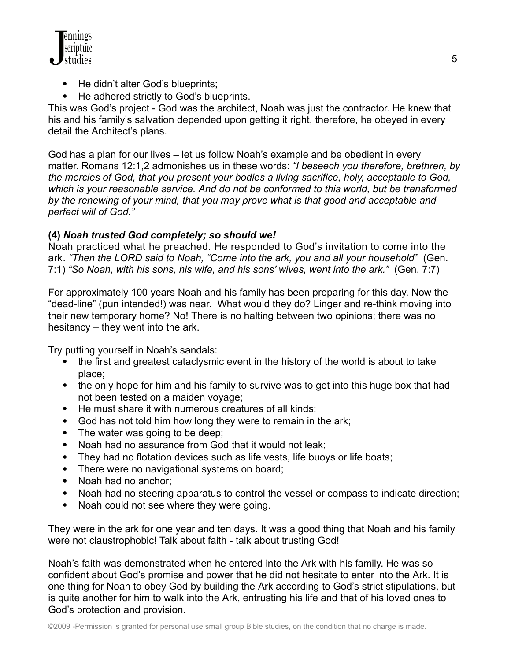

- He didn't alter God's blueprints;
- He adhered strictly to God's blueprints.

This was God's project - God was the architect, Noah was just the contractor. He knew that his and his family's salvation depended upon getting it right, therefore, he obeyed in every detail the Architect's plans.

God has a plan for our lives – let us follow Noah's example and be obedient in every matter. Romans 12:1,2 admonishes us in these words: *"I beseech you therefore, brethren, by the mercies of God, that you present your bodies a living sacrifice, holy, acceptable to God, which is your reasonable service. And do not be conformed to this world, but be transformed by the renewing of your mind, that you may prove what is that good and acceptable and perfect will of God."*

## **(4)** *Noah trusted God completely; so should we!*

Noah practiced what he preached. He responded to God's invitation to come into the ark. *"Then the LORD said to Noah, "Come into the ark, you and all your household"* (Gen. 7:1) *"So Noah, with his sons, his wife, and his sons' wives, went into the ark."* (Gen. 7:7)

For approximately 100 years Noah and his family has been preparing for this day. Now the "dead-line" (pun intended!) was near. What would they do? Linger and re-think moving into their new temporary home? No! There is no halting between two opinions; there was no hesitancy – they went into the ark.

Try putting yourself in Noah's sandals:

- the first and greatest cataclysmic event in the history of the world is about to take place;
- the only hope for him and his family to survive was to get into this huge box that had not been tested on a maiden voyage;
- He must share it with numerous creatures of all kinds;
- God has not told him how long they were to remain in the ark;
- The water was going to be deep;
- Noah had no assurance from God that it would not leak;
- They had no flotation devices such as life vests, life buoys or life boats;
- There were no navigational systems on board;
- Noah had no anchor;
- Noah had no steering apparatus to control the vessel or compass to indicate direction;
- Noah could not see where they were going.

They were in the ark for one year and ten days. It was a good thing that Noah and his family were not claustrophobic! Talk about faith - talk about trusting God!

Noah's faith was demonstrated when he entered into the Ark with his family. He was so confident about God's promise and power that he did not hesitate to enter into the Ark. It is one thing for Noah to obey God by building the Ark according to God's strict stipulations, but is quite another for him to walk into the Ark, entrusting his life and that of his loved ones to God's protection and provision.